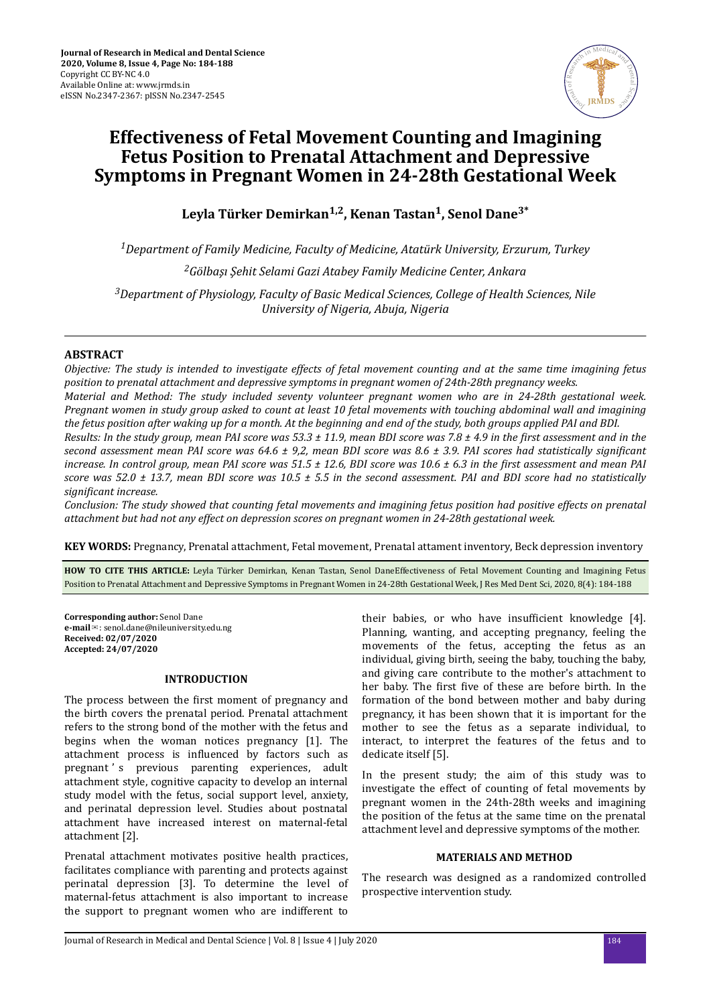

# **Effectiveness of Fetal Movement Counting and Imagining Fetus Position to Prenatal Attachment and Depressive Symptoms in Pregnant Women in 24-28th Gestational Week**

**Leyla Türker Demirkan1,2, Kenan Tastan<sup>1</sup> , Senol Dane3\***

*<sup>1</sup>Department of Family Medicine, Faculty of Medicine, Atatürk University, Erzurum, Turkey*

*<sup>2</sup>Gölbaşı Şehit Selami Gazi Atabey Family Medicine Center, Ankara*

*<sup>3</sup>Department of Physiology, Faculty of Basic Medical Sciences, College of Health Sciences, Nile University of Nigeria, Abuja, Nigeria*

# **ABSTRACT**

*Objective: The study is intended to investigate effects of fetal movement counting and at the same time imagining fetus position to prenatal attachment and depressive symptoms in pregnant women of 24th-28th pregnancy weeks.*

*Material and Method: The study included seventy volunteer pregnant women who are in 24-28th gestational week. Pregnant women in study group asked to count at least 10 fetal movements with touching abdominal wall and imagining the fetus position after waking up for a month. At the beginning and end of the study, both groups applied PAI and BDI.*

*Results: In the study group, mean PAI score was 53.3 ± 11.9, mean BDI score was 7.8 ± 4.9 in the first assessment and in the second assessment mean PAI score was 64.6 ± 9,2, mean BDI score was 8.6 ± 3.9. PAI scores had statistically significant increase. In control group, mean PAI score was 51.5 ± 12.6, BDI score was 10.6 ± 6.3 in the first assessment and mean PAI score was 52.0 ± 13.7, mean BDI score was 10.5 ± 5.5 in the second assessment. PAI and BDI score had no statistically*  $sianificant increase.$ 

*Conclusion: The study showed that counting fetal movements and imagining fetus position had positive effects on prenatal attachment but had not any effect on depression scores on pregnant women in 24-28th gestational week.*

**KEY WORDS:** Pregnancy, Prenatal attachment, Fetal movement, Prenatal attament inventory, Beck depression inventory

**HOW TO CITE THIS ARTICLE:** Leyla Türker Demirkan, Kenan Tastan, Senol DaneEffectiveness of Fetal Movement Counting and Imagining Fetus Position to Prenatal Attachment and Depressive Symptoms in Pregnant Women in 24-28th Gestational Week, J Res Med Dent Sci, 2020, 8(4): 184-188

**Corresponding author:** Senol Dane **e-mail**✉: senol.dane@nileuniversity.edu.ng **Received: 02/07/2020 Accepted: 24/07/2020** 

## **INTRODUCTION**

The process between the first moment of pregnancy and the birth covers the prenatal period. Prenatal attachment refers to the strong bond of the mother with the fetus and begins when the woman notices pregnancy [1]. The attachment process is influenced by factors such as pregnant ' s previous parenting experiences, adult attachment style, cognitive capacity to develop an internal study model with the fetus, social support level, anxiety, and perinatal depression level. Studies about postnatal attachment have increased interest on maternal-fetal attachment [2].

Prenatal attachment motivates positive health practices, facilitates compliance with parenting and protects against perinatal depression [3]. To determine the level of maternal-fetus attachment is also important to increase the support to pregnant women who are indifferent to

their babies, or who have insufficient knowledge [4]. Planning, wanting, and accepting pregnancy, feeling the movements of the fetus, accepting the fetus as an individual, giving birth, seeing the baby, touching the baby, and giving care contribute to the mother's attachment to her baby. The first five of these are before birth. In the formation of the bond between mother and baby during pregnancy, it has been shown that it is important for the mother to see the fetus as a separate individual, to interact, to interpret the features of the fetus and to dedicate itself [5].

In the present study; the aim of this study was to investigate the effect of counting of fetal movements by pregnant women in the 24th-28th weeks and imagining the position of the fetus at the same time on the prenatal attachment level and depressive symptoms of the mother.

## **MATERIALS AND METHOD**

The research was designed as a randomized controlled prospective intervention study.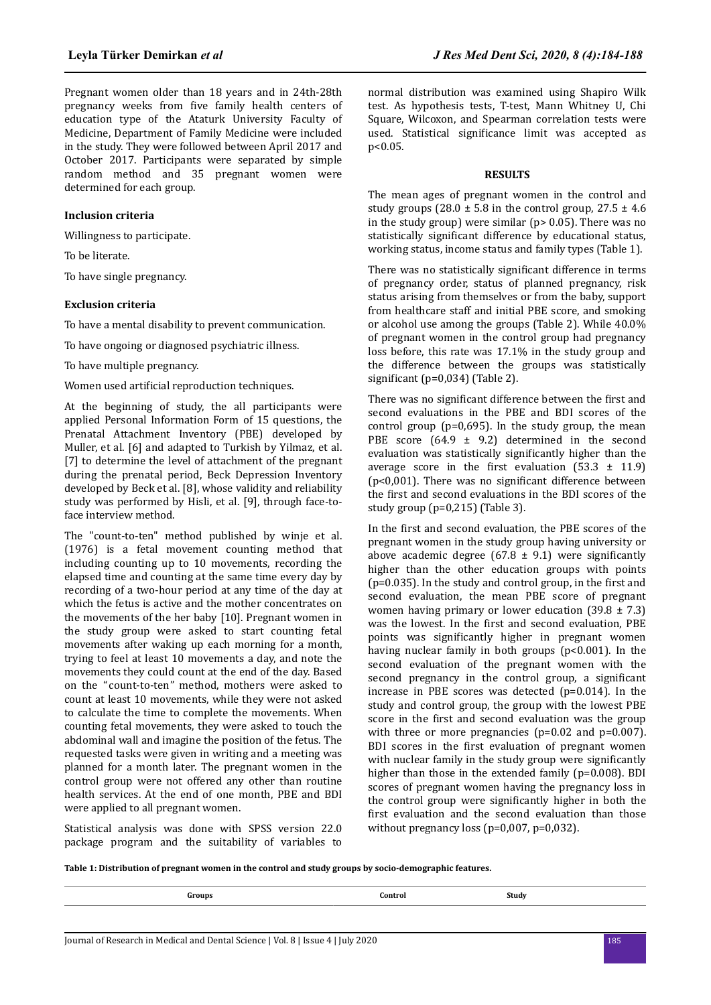Pregnant women older than 18 years and in 24th-28th pregnancy weeks from five family health centers of education type of the Ataturk University Faculty of Medicine, Department of Family Medicine were included in the study. They were followed between April 2017 and October 2017. Participants were separated by simple random method and 35 pregnant women were determined for each group.

## **Inclusion criteria**

Willingness to participate.

To be literate.

To have single pregnancy.

#### **Exclusion criteria**

To have a mental disability to prevent communication.

To have ongoing or diagnosed psychiatric illness.

To have multiple pregnancy.

Women used artificial reproduction techniques.

At the beginning of study, the all participants were applied Personal Information Form of 15 questions, the Prenatal Attachment Inventory (PBE) developed by Muller, et al. [6] and adapted to Turkish by Yilmaz, et al. [7] to determine the level of attachment of the pregnant during the prenatal period, Beck Depression Inventory developed by Beck et al. [8], whose validity and reliability study was performed by Hisli, et al. [9], through face-toface interview method.

The "count-to-ten" method published by winje et al. (1976) is a fetal movement counting method that including counting up to 10 movements, recording the elapsed time and counting at the same time every day by recording of a two-hour period at any time of the day at which the fetus is active and the mother concentrates on the movements of the her baby [10]. Pregnant women in the study group were asked to start counting fetal movements after waking up each morning for a month, trying to feel at least 10 movements a day, and note the movements they could count at the end of the day. Based on the "count-to-ten" method, mothers were asked to count at least 10 movements, while they were not asked to calculate the time to complete the movements. When counting fetal movements, they were asked to touch the abdominal wall and imagine the position of the fetus. The requested tasks were given in writing and a meeting was planned for a month later. The pregnant women in the control group were not offered any other than routine health services. At the end of one month, PBE and BDI were applied to all pregnant women.

Statistical analysis was done with SPSS version 22.0 package program and the suitability of variables to normal distribution was examined using Shapiro Wilk test. As hypothesis tests, T-test, Mann Whitney U, Chi Square, Wilcoxon, and Spearman correlation tests were used. Statistical significance limit was accepted as  $p<0.05$ .

#### **RESULTS**

The mean ages of pregnant women in the control and study groups (28.0  $\pm$  5.8 in the control group, 27.5  $\pm$  4.6 in the study group) were similar (p> 0.05). There was no statistically significant difference by educational status, working status, income status and family types (Table 1).

There was no statistically significant difference in terms of pregnancy order, status of planned pregnancy, risk status arising from themselves or from the baby, support from healthcare staff and initial PBE score, and smoking or alcohol use among the groups (Table 2). While 40.0% of pregnant women in the control group had pregnancy loss before, this rate was 17.1% in the study group and the difference between the groups was statistically significant ( $p=0.034$ ) (Table 2).

There was no significant difference between the first and second evaluations in the PBE and BDI scores of the control group (p=0,695). In the study group, the mean PBE score (64.9 ± 9.2) determined in the second evaluation was statistically significantly higher than the average score in the first evaluation  $(53.3 \pm 11.9)$ ( $p$ <0,001). There was no significant difference between the first and second evaluations in the BDI scores of the study group (p=0,215) (Table 3).

In the first and second evaluation, the PBE scores of the pregnant women in the study group having university or above academic degree (67.8  $\pm$  9.1) were significantly higher than the other education groups with points  $(p=0.035)$ . In the study and control group, in the first and second evaluation, the mean PBE score of pregnant women having primary or lower education  $(39.8 \pm 7.3)$ was the lowest. In the first and second evaluation, PBE points was significantly higher in pregnant women having nuclear family in both groups (p<0.001). In the second evaluation of the pregnant women with the second pregnancy in the control group, a significant increase in PBE scores was detected (p=0.014). In the study and control group, the group with the lowest PBE score in the first and second evaluation was the group with three or more pregnancies (p=0.02 and p=0.007). BDI scores in the first evaluation of pregnant women with nuclear family in the study group were significantly higher than those in the extended family (p=0.008). BDI scores of pregnant women having the pregnancy loss in the control group were significantly higher in both the first evaluation and the second evaluation than those without pregnancy loss (p=0,007, p=0,032).

**Table 1: Distribution of pregnant women in the control and study groups by socio-demographic features.**

| Groups | Control | Study |  |
|--------|---------|-------|--|
|        |         |       |  |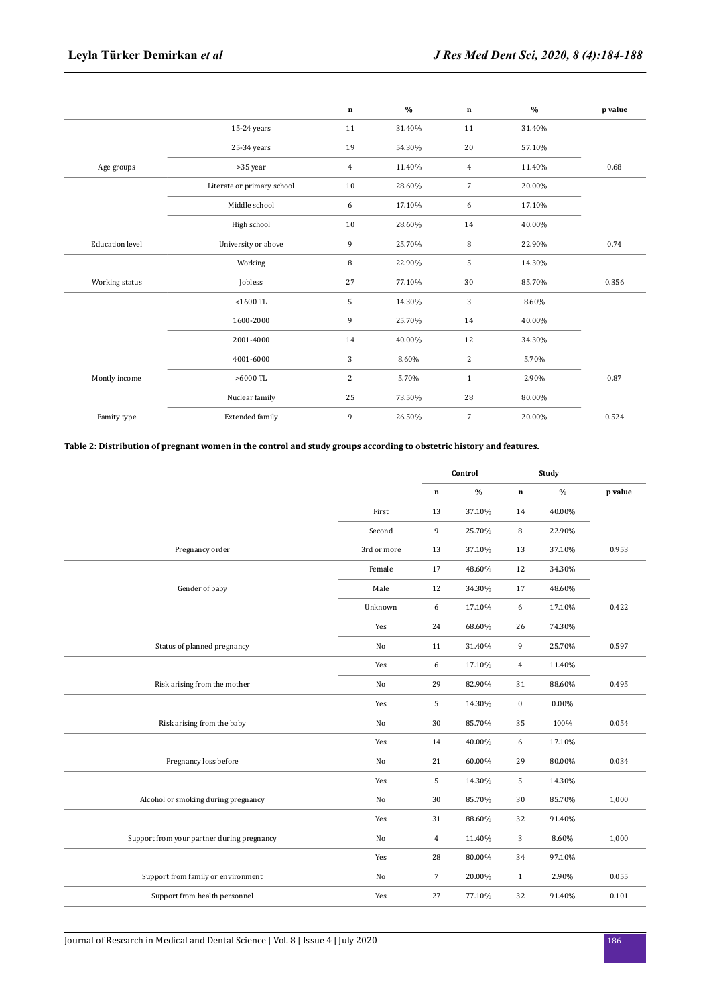|                        |                            | $\mathbf n$    | $\frac{0}{0}$ | $\bf n$        | $\frac{0}{0}$ | p value |
|------------------------|----------------------------|----------------|---------------|----------------|---------------|---------|
|                        | 15-24 years                | 11             | 31.40%        | 11             | 31.40%        |         |
|                        | 25-34 years                | 19             | 54.30%        | 20             | 57.10%        |         |
| Age groups             | >35 year                   | $\overline{4}$ | 11.40%        | $\overline{4}$ | 11.40%        | 0.68    |
|                        | Literate or primary school | 10             | 28.60%        | 7              | 20.00%        |         |
|                        | Middle school              | 6              | 17.10%        | 6              | 17.10%        |         |
|                        | High school                | 10             | 28.60%        | 14             | 40.00%        |         |
| <b>Education</b> level | University or above        | 9              | 25.70%        | 8              | 22.90%        | 0.74    |
|                        | Working                    | 8              | 22.90%        | 5              | 14.30%        |         |
| Working status         | Jobless                    | 27             | 77.10%        | 30             | 85.70%        | 0.356   |
|                        | $<$ 1600 $TL$              | 5              | 14.30%        | 3              | 8.60%         |         |
|                        | 1600-2000                  | 9              | 25.70%        | 14             | 40.00%        |         |
|                        | 2001-4000                  | 14             | 40.00%        | 12             | 34.30%        |         |
|                        | 4001-6000                  | 3              | 8.60%         | $\overline{c}$ | 5.70%         |         |
| Montly income          | $>6000$ TL                 | 2              | 5.70%         | $\mathbf{1}$   | 2.90%         | 0.87    |
|                        | Nuclear family             | 25             | 73.50%        | 28             | 80.00%        |         |
| Famity type            | <b>Extended family</b>     | 9              | 26.50%        | 7              | 20.00%        | 0.524   |
|                        |                            |                |               |                |               |         |

#### **Table 2: Distribution of pregnant women in the control and study groups according to obstetric history and features.**

|                                            |             | Control        |               | Study            |               |         |
|--------------------------------------------|-------------|----------------|---------------|------------------|---------------|---------|
|                                            |             | n              | $\frac{0}{0}$ | $\bf n$          | $\frac{0}{0}$ | p value |
|                                            | First       | 13             | 37.10%        | 14               | 40.00%        |         |
|                                            | Second      | 9              | 25.70%        | 8                | 22.90%        |         |
| Pregnancy order                            | 3rd or more | 13             | 37.10%        | 13               | 37.10%        | 0.953   |
|                                            | Female      | 17             | 48.60%        | 12               | 34.30%        |         |
| Gender of baby                             | Male        | 12             | 34.30%        | 17               | 48.60%        |         |
|                                            | Unknown     | 6              | 17.10%        | $\boldsymbol{6}$ | 17.10%        | 0.422   |
|                                            | Yes         | 24             | 68.60%        | 26               | 74.30%        |         |
| Status of planned pregnancy                | No          | 11             | 31.40%        | 9                | 25.70%        | 0.597   |
|                                            | Yes         | 6              | 17.10%        | $\overline{4}$   | 11.40%        |         |
| Risk arising from the mother               | No          | 29             | 82.90%        | 31               | 88.60%        | 0.495   |
|                                            | Yes         | 5              | 14.30%        | $\bf{0}$         | $0.00\%$      |         |
| Risk arising from the baby                 | No          | 30             | 85.70%        | 35               | 100%          | 0.054   |
|                                            | Yes         | 14             | 40.00%        | 6                | 17.10%        |         |
| Pregnancy loss before                      | No          | 21             | 60.00%        | 29               | 80.00%        | 0.034   |
|                                            | Yes         | 5              | 14.30%        | 5                | 14.30%        |         |
| Alcohol or smoking during pregnancy        | No          | 30             | 85.70%        | 30               | 85.70%        | 1,000   |
|                                            | Yes         | 31             | 88.60%        | 32               | 91.40%        |         |
| Support from your partner during pregnancy | No          | $\overline{4}$ | 11.40%        | 3                | 8.60%         | 1,000   |
|                                            | Yes         | 28             | 80.00%        | 34               | 97.10%        |         |
| Support from family or environment         | No          | $\overline{7}$ | 20.00%        | $\mathbf{1}$     | 2.90%         | 0.055   |
| Support from health personnel              | Yes         | 27             | 77.10%        | 32               | 91.40%        | 0.101   |
|                                            |             |                |               |                  |               |         |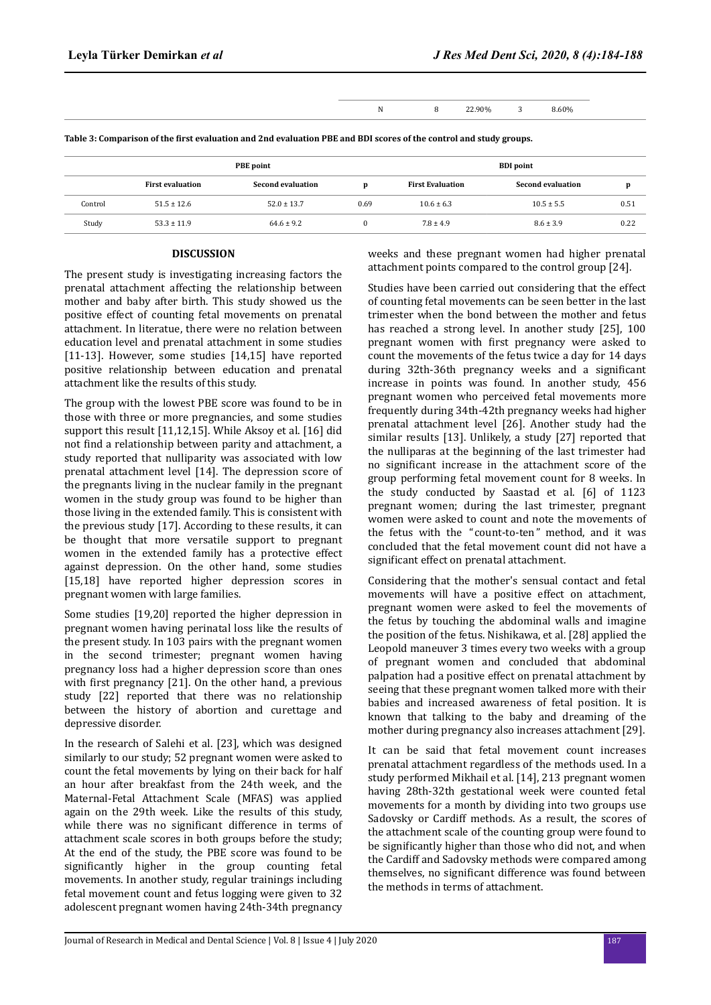|  | $\gamma_{0h}$ | 50% |
|--|---------------|-----|

**Table 3: Comparison of the ϐrst evaluation and 2nd evaluation PBE and BDI scores of the control and study groups.**

|         |                         | <b>PBE</b> point  | <b>BDI</b> point |                         |                          |      |
|---------|-------------------------|-------------------|------------------|-------------------------|--------------------------|------|
|         | <b>First evaluation</b> | Second evaluation | D                | <b>First Evaluation</b> | <b>Second evaluation</b> | D    |
| Control | $51.5 \pm 12.6$         | $52.0 \pm 13.7$   | 0.69             | $10.6 \pm 6.3$          | $10.5 \pm 5.5$           | 0.51 |
| Study   | $53.3 \pm 11.9$         | $64.6 \pm 9.2$    | 0                | $7.8 \pm 4.9$           | $8.6 \pm 3.9$            | 0.22 |

#### **DISCUSSION**

The present study is investigating increasing factors the prenatal attachment affecting the relationship between mother and baby after birth. This study showed us the positive effect of counting fetal movements on prenatal attachment. In literatue, there were no relation between education level and prenatal attachment in some studies [11-13]. However, some studies [14,15] have reported positive relationship between education and prenatal attachment like the results of this study.

The group with the lowest PBE score was found to be in those with three or more pregnancies, and some studies support this result [11,12,15]. While Aksoy et al. [16] did not find a relationship between parity and attachment, a study reported that nulliparity was associated with low prenatal attachment level [14]. The depression score of the pregnants living in the nuclear family in the pregnant women in the study group was found to be higher than those living in the extended family. This is consistent with the previous study [17]. According to these results, it can be thought that more versatile support to pregnant women in the extended family has a protective effect against depression. On the other hand, some studies [15,18] have reported higher depression scores in pregnant women with large families.

Some studies [19,20] reported the higher depression in pregnant women having perinatal loss like the results of the present study. In 103 pairs with the pregnant women in the second trimester; pregnant women having pregnancy loss had a higher depression score than ones with first pregnancy  $[21]$ . On the other hand, a previous study [22] reported that there was no relationship between the history of abortion and curettage and depressive disorder.

In the research of Salehi et al. [23], which was designed similarly to our study; 52 pregnant women were asked to count the fetal movements by lying on their back for half an hour after breakfast from the 24th week, and the Maternal-Fetal Attachment Scale (MFAS) was applied again on the 29th week. Like the results of this study, while there was no significant difference in terms of attachment scale scores in both groups before the study; At the end of the study, the PBE score was found to be significantly higher in the group counting fetal movements. In another study, regular trainings including fetal movement count and fetus logging were given to 32 adolescent pregnant women having 24th-34th pregnancy

weeks and these pregnant women had higher prenatal attachment points compared to the control group [24].

Studies have been carried out considering that the effect of counting fetal movements can be seen better in the last trimester when the bond between the mother and fetus has reached a strong level. In another study [25], 100 pregnant women with first pregnancy were asked to count the movements of the fetus twice a day for 14 days during 32th-36th pregnancy weeks and a significant increase in points was found. In another study, 456 pregnant women who perceived fetal movements more frequently during 34th-42th pregnancy weeks had higher prenatal attachment level [26]. Another study had the similar results [13]. Unlikely, a study [27] reported that the nulliparas at the beginning of the last trimester had no significant increase in the attachment score of the group performing fetal movement count for 8 weeks. In the study conducted by Saastad et al. [6] of 1123 pregnant women; during the last trimester, pregnant women were asked to count and note the movements of the fetus with the " count-to-ten " method, and it was concluded that the fetal movement count did not have a significant effect on prenatal attachment.

Considering that the mother's sensual contact and fetal movements will have a positive effect on attachment, pregnant women were asked to feel the movements of the fetus by touching the abdominal walls and imagine the position of the fetus. Nishikawa, et al. [28] applied the Leopold maneuver 3 times every two weeks with a group of pregnant women and concluded that abdominal palpation had a positive effect on prenatal attachment by seeing that these pregnant women talked more with their babies and increased awareness of fetal position. It is known that talking to the baby and dreaming of the mother during pregnancy also increases attachment [29].

It can be said that fetal movement count increases prenatal attachment regardless of the methods used. In a study performed Mikhail et al. [14], 213 pregnant women having 28th-32th gestational week were counted fetal movements for a month by dividing into two groups use Sadovsky or Cardiff methods. As a result, the scores of the attachment scale of the counting group were found to be significantly higher than those who did not, and when the Cardiff and Sadovsky methods were compared among themselves, no significant difference was found between the methods in terms of attachment.